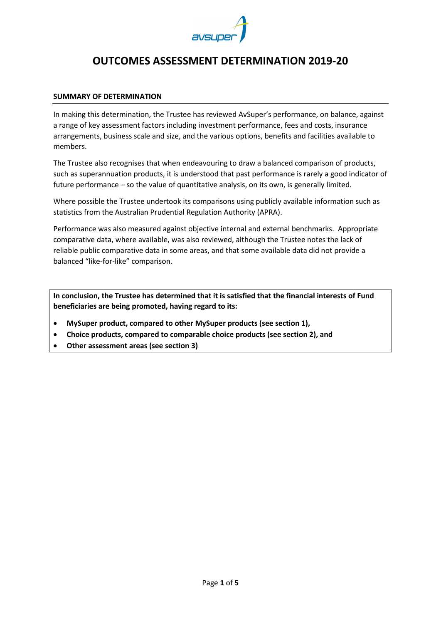

# **OUTCOMES ASSESSMENT DETERMINATION 2019-20**

# **SUMMARY OF DETERMINATION**

In making this determination, the Trustee has reviewed AvSuper's performance, on balance, against a range of key assessment factors including investment performance, fees and costs, insurance arrangements, business scale and size, and the various options, benefits and facilities available to members.

The Trustee also recognises that when endeavouring to draw a balanced comparison of products, such as superannuation products, it is understood that past performance is rarely a good indicator of future performance – so the value of quantitative analysis, on its own, is generally limited.

Where possible the Trustee undertook its comparisons using publicly available information such as statistics from the Australian Prudential Regulation Authority (APRA).

Performance was also measured against objective internal and external benchmarks. Appropriate comparative data, where available, was also reviewed, although the Trustee notes the lack of reliable public comparative data in some areas, and that some available data did not provide a balanced "like-for-like" comparison.

**In conclusion, the Trustee has determined that it is satisfied that the financial interests of Fund beneficiaries are being promoted, having regard to its:**

- **MySuper product, compared to other MySuper products (see section 1),**
- **Choice products, compared to comparable choice products (see section 2), and**
- **Other assessment areas (see section 3)**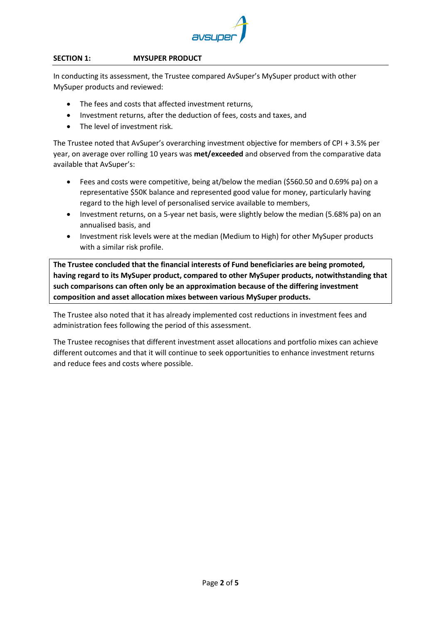

# **SECTION 1: MYSUPER PRODUCT**

In conducting its assessment, the Trustee compared AvSuper's MySuper product with other MySuper products and reviewed:

- The fees and costs that affected investment returns,
- Investment returns, after the deduction of fees, costs and taxes, and
- The level of investment risk.

The Trustee noted that AvSuper's overarching investment objective for members of CPI + 3.5% per year, on average over rolling 10 years was **met/exceeded** and observed from the comparative data available that AvSuper's:

- Fees and costs were competitive, being at/below the median (\$560.50 and 0.69% pa) on a representative \$50K balance and represented good value for money, particularly having regard to the high level of personalised service available to members,
- Investment returns, on a 5-year net basis, were slightly below the median (5.68% pa) on an annualised basis, and
- Investment risk levels were at the median (Medium to High) for other MySuper products with a similar risk profile.

**The Trustee concluded that the financial interests of Fund beneficiaries are being promoted, having regard to its MySuper product, compared to other MySuper products, notwithstanding that such comparisons can often only be an approximation because of the differing investment composition and asset allocation mixes between various MySuper products.**

The Trustee also noted that it has already implemented cost reductions in investment fees and administration fees following the period of this assessment.

The Trustee recognises that different investment asset allocations and portfolio mixes can achieve different outcomes and that it will continue to seek opportunities to enhance investment returns and reduce fees and costs where possible.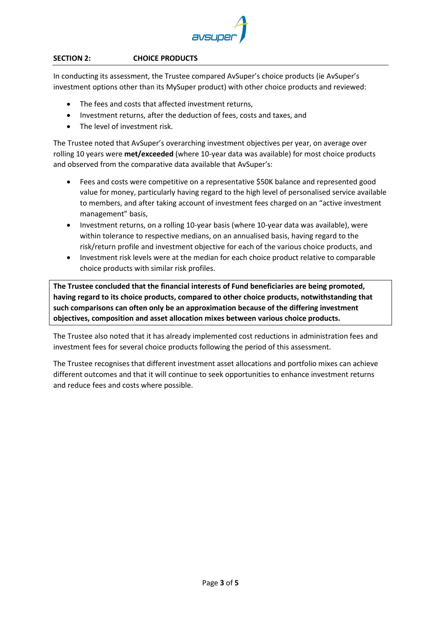

# **SECTION 2: CHOICE PRODUCTS**

In conducting its assessment, the Trustee compared AvSuper's choice products (ie AvSuper's investment options other than its MySuper product) with other choice products and reviewed:

- The fees and costs that affected investment returns,
- Investment returns, after the deduction of fees, costs and taxes, and
- The level of investment risk.

The Trustee noted that AvSuper's overarching investment objectives per year, on average over rolling 10 years were **met/exceeded** (where 10-year data was available) for most choice products and observed from the comparative data available that AvSuper's:

- Fees and costs were competitive on a representative \$50K balance and represented good value for money, particularly having regard to the high level of personalised service available to members, and after taking account of investment fees charged on an "active investment management" basis,
- Investment returns, on a rolling 10-year basis (where 10-year data was available), were within tolerance to respective medians, on an annualised basis, having regard to the risk/return profile and investment objective for each of the various choice products, and
- Investment risk levels were at the median for each choice product relative to comparable choice products with similar risk profiles.

**The Trustee concluded that the financial interests of Fund beneficiaries are being promoted, having regard to its choice products, compared to other choice products, notwithstanding that such comparisons can often only be an approximation because of the differing investment objectives, composition and asset allocation mixes between various choice products.**

The Trustee also noted that it has already implemented cost reductions in administration fees and investment fees for several choice products following the period of this assessment.

The Trustee recognises that different investment asset allocations and portfolio mixes can achieve different outcomes and that it will continue to seek opportunities to enhance investment returns and reduce fees and costs where possible.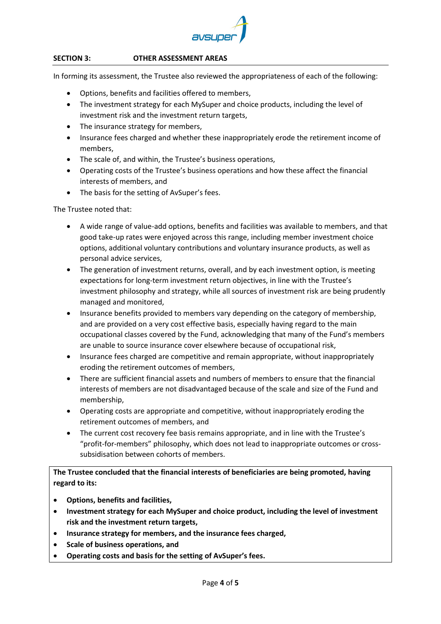

#### **SECTION 3: OTHER ASSESSMENT AREAS**

In forming its assessment, the Trustee also reviewed the appropriateness of each of the following:

- Options, benefits and facilities offered to members,
- The investment strategy for each MySuper and choice products, including the level of investment risk and the investment return targets,
- The insurance strategy for members.
- Insurance fees charged and whether these inappropriately erode the retirement income of members,
- The scale of, and within, the Trustee's business operations,
- Operating costs of the Trustee's business operations and how these affect the financial interests of members, and
- The basis for the setting of AvSuper's fees.

The Trustee noted that:

- A wide range of value-add options, benefits and facilities was available to members, and that good take-up rates were enjoyed across this range, including member investment choice options, additional voluntary contributions and voluntary insurance products, as well as personal advice services,
- The generation of investment returns, overall, and by each investment option, is meeting expectations for long-term investment return objectives, in line with the Trustee's investment philosophy and strategy, while all sources of investment risk are being prudently managed and monitored,
- Insurance benefits provided to members vary depending on the category of membership, and are provided on a very cost effective basis, especially having regard to the main occupational classes covered by the Fund, acknowledging that many of the Fund's members are unable to source insurance cover elsewhere because of occupational risk,
- Insurance fees charged are competitive and remain appropriate, without inappropriately eroding the retirement outcomes of members,
- There are sufficient financial assets and numbers of members to ensure that the financial interests of members are not disadvantaged because of the scale and size of the Fund and membership,
- Operating costs are appropriate and competitive, without inappropriately eroding the retirement outcomes of members, and
- The current cost recovery fee basis remains appropriate, and in line with the Trustee's "profit-for-members" philosophy, which does not lead to inappropriate outcomes or crosssubsidisation between cohorts of members.

**The Trustee concluded that the financial interests of beneficiaries are being promoted, having regard to its:**

- **Options, benefits and facilities,**
- **Investment strategy for each MySuper and choice product, including the level of investment risk and the investment return targets,**
- **Insurance strategy for members, and the insurance fees charged,**
- **Scale of business operations, and**
- **Operating costs and basis for the setting of AvSuper's fees.**